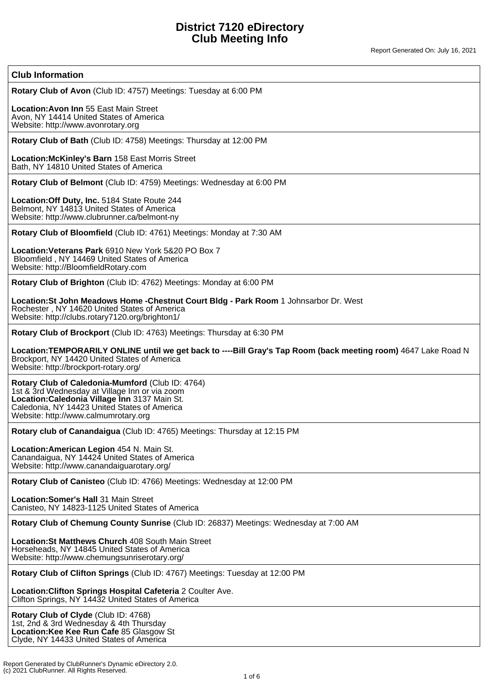#### **Club Information**

**Rotary Club of Avon** (Club ID: 4757) Meetings: Tuesday at 6:00 PM

**Location:Avon Inn** 55 East Main Street Avon, NY 14414 United States of America Website: http://www.avonrotary.org

**Rotary Club of Bath** (Club ID: 4758) Meetings: Thursday at 12:00 PM

**Location:McKinley's Barn** 158 East Morris Street Bath, NY 14810 United States of America

**Rotary Club of Belmont** (Club ID: 4759) Meetings: Wednesday at 6:00 PM

**Location:Off Duty, Inc.** 5184 State Route 244 Belmont, NY 14813 United States of America Website: http://www.clubrunner.ca/belmont-ny

**Rotary Club of Bloomfield** (Club ID: 4761) Meetings: Monday at 7:30 AM

**Location:Veterans Park** 6910 New York 5&20 PO Box 7 Bloomfield , NY 14469 United States of America Website: http://BloomfieldRotary.com

**Rotary Club of Brighton** (Club ID: 4762) Meetings: Monday at 6:00 PM

**Location:St John Meadows Home -Chestnut Court Bldg - Park Room** 1 Johnsarbor Dr. West Rochester , NY 14620 United States of America Website: http://clubs.rotary7120.org/brighton1/

**Rotary Club of Brockport** (Club ID: 4763) Meetings: Thursday at 6:30 PM

Location:TEMPORARILY ONLINE until we get back to ----Bill Gray's Tap Room (back meeting room) 4647 Lake Road N Brockport, NY 14420 United States of America Website: http://brockport-rotary.org/

**Rotary Club of Caledonia-Mumford** (Club ID: 4764) 1st & 3rd Wednesday at Village Inn or via zoom **Location:Caledonia Village Inn** 3137 Main St. Caledonia, NY 14423 United States of America Website: http://www.calmumrotary.org

**Rotary club of Canandaigua** (Club ID: 4765) Meetings: Thursday at 12:15 PM

**Location:American Legion** 454 N. Main St. Canandaigua, NY 14424 United States of America Website: http://www.canandaiguarotary.org/

**Rotary Club of Canisteo** (Club ID: 4766) Meetings: Wednesday at 12:00 PM

**Location:Somer's Hall** 31 Main Street Canisteo, NY 14823-1125 United States of America

**Rotary Club of Chemung County Sunrise** (Club ID: 26837) Meetings: Wednesday at 7:00 AM

**Location:St Matthews Church** 408 South Main Street Horseheads, NY 14845 United States of America Website: http://www.chemungsunriserotary.org/

**Rotary Club of Clifton Springs** (Club ID: 4767) Meetings: Tuesday at 12:00 PM

**Location:Clifton Springs Hospital Cafeteria** 2 Coulter Ave. Clifton Springs, NY 14432 United States of America

**Rotary Club of Clyde** (Club ID: 4768) 1st, 2nd & 3rd Wednesday & 4th Thursday **Location:Kee Kee Run Cafe** 85 Glasgow St Clyde, NY 14433 United States of America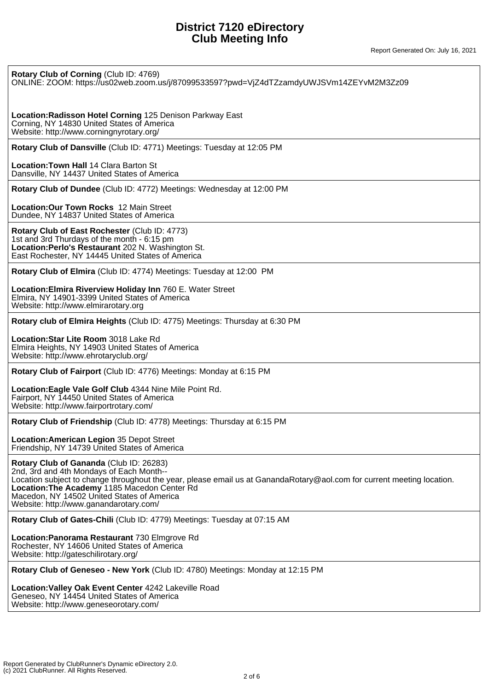| Rotary Club of Corning (Club ID: 4769)<br>ONLINE: ZOOM: https://us02web.zoom.us/j/87099533597?pwd=VjZ4dTZzamdyUWJSVm14ZEYvM2M3Zz09                                                                                                                                                                                                                    |
|-------------------------------------------------------------------------------------------------------------------------------------------------------------------------------------------------------------------------------------------------------------------------------------------------------------------------------------------------------|
| Location: Radisson Hotel Corning 125 Denison Parkway East<br>Corning, NY 14830 United States of America<br>Website: http://www.corningnyrotary.org/                                                                                                                                                                                                   |
| Rotary Club of Dansville (Club ID: 4771) Meetings: Tuesday at 12:05 PM                                                                                                                                                                                                                                                                                |
| <b>Location: Town Hall 14 Clara Barton St.</b><br>Dansville, NY 14437 United States of America                                                                                                                                                                                                                                                        |
| Rotary Club of Dundee (Club ID: 4772) Meetings: Wednesday at 12:00 PM                                                                                                                                                                                                                                                                                 |
| <b>Location: Our Town Rocks 12 Main Street</b><br>Dundee, NY 14837 United States of America                                                                                                                                                                                                                                                           |
| Rotary Club of East Rochester (Club ID: 4773)<br>1st and 3rd Thurdays of the month - 6:15 pm<br>Location: Perlo's Restaurant 202 N. Washington St.<br>East Rochester, NY 14445 United States of America                                                                                                                                               |
| Rotary Club of Elmira (Club ID: 4774) Meetings: Tuesday at 12:00 PM                                                                                                                                                                                                                                                                                   |
| Location: Elmira Riverview Holiday Inn 760 E. Water Street<br>Elmira, NY 14901-3399 United States of America<br>Website: http://www.elmirarotary.org                                                                                                                                                                                                  |
| Rotary club of Elmira Heights (Club ID: 4775) Meetings: Thursday at 6:30 PM                                                                                                                                                                                                                                                                           |
| Location: Star Lite Room 3018 Lake Rd<br>Elmira Heights, NY 14903 United States of America<br>Website: http://www.ehrotaryclub.org/                                                                                                                                                                                                                   |
| Rotary Club of Fairport (Club ID: 4776) Meetings: Monday at 6:15 PM                                                                                                                                                                                                                                                                                   |
| Location: Eagle Vale Golf Club 4344 Nine Mile Point Rd.<br>Fairport, NY 14450 United States of America<br>Website: http://www.fairportrotary.com/                                                                                                                                                                                                     |
| Rotary Club of Friendship (Club ID: 4778) Meetings: Thursday at 6:15 PM                                                                                                                                                                                                                                                                               |
| Location: American Legion 35 Depot Street<br>Friendship, NY 14739 United States of America                                                                                                                                                                                                                                                            |
| Rotary Club of Gananda (Club ID: 26283)<br>2nd, 3rd and 4th Mondays of Each Month--<br>Location subject to change throughout the year, please email us at GanandaRotary@aol.com for current meeting location.<br>Location: The Academy 1185 Macedon Center Rd<br>Macedon, NY 14502 United States of America<br>Website: http://www.ganandarotary.com/ |
| Rotary Club of Gates-Chili (Club ID: 4779) Meetings: Tuesday at 07:15 AM                                                                                                                                                                                                                                                                              |
| Location: Panorama Restaurant 730 Elmgrove Rd<br>Rochester, NY 14606 United States of America<br>Website: http://gateschilirotary.org/                                                                                                                                                                                                                |
| Rotary Club of Geneseo - New York (Club ID: 4780) Meetings: Monday at 12:15 PM                                                                                                                                                                                                                                                                        |
| Location: Valley Oak Event Center 4242 Lakeville Road<br>Geneseo, NY 14454 United States of America<br>Website: http://www.geneseorotary.com/                                                                                                                                                                                                         |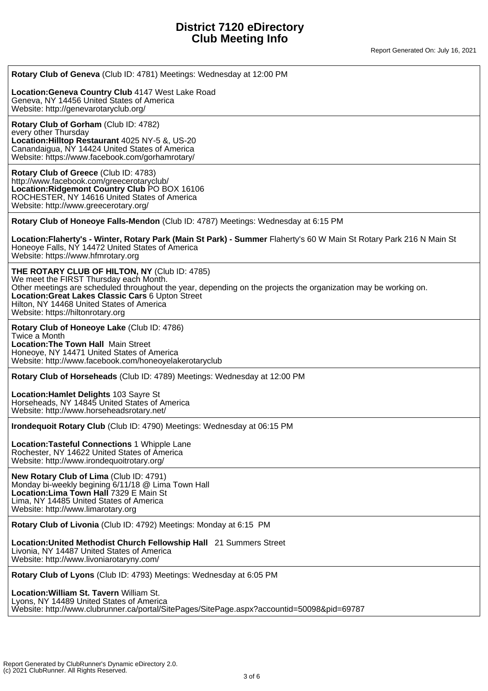Report Generated On: July 16, 2021

| Rotary Club of Geneva (Club ID: 4781) Meetings: Wednesday at 12:00 PM                                                                                                                                                                                                                                                                             |
|---------------------------------------------------------------------------------------------------------------------------------------------------------------------------------------------------------------------------------------------------------------------------------------------------------------------------------------------------|
| Location: Geneva Country Club 4147 West Lake Road<br>Geneva, NY 14456 United States of America<br>Website: http://genevarotaryclub.org/                                                                                                                                                                                                           |
| Rotary Club of Gorham (Club ID: 4782)<br>every other Thursday<br>Location: Hilltop Restaurant 4025 NY-5 &, US-20<br>Canandaigua, NY 14424 United States of America<br>Website: https://www.facebook.com/gorhamrotary/                                                                                                                             |
| Rotary Club of Greece (Club ID: 4783)<br>http://www.facebook.com/greecerotaryclub/<br>Location: Ridgemont Country Club PO BOX 16106<br>ROCHESTER, NY 14616 United States of America<br>Website: http://www.greecerotary.org/                                                                                                                      |
| Rotary Club of Honeoye Falls-Mendon (Club ID: 4787) Meetings: Wednesday at 6:15 PM                                                                                                                                                                                                                                                                |
| Location: Flaherty's - Winter, Rotary Park (Main St Park) - Summer Flaherty's 60 W Main St Rotary Park 216 N Main St<br>Honeoye Falls, NY 14472 United States of America<br>Website: https://www.hfmrotary.org                                                                                                                                    |
| THE ROTARY CLUB OF HILTON, NY (Club ID: 4785)<br>We meet the FIRST Thursday each Month.<br>Other meetings are scheduled throughout the year, depending on the projects the organization may be working on.<br>Location: Great Lakes Classic Cars 6 Upton Street<br>Hilton, NY 14468 United States of America<br>Website: https://hiltonrotary.org |
| Rotary Club of Honeoye Lake (Club ID: 4786)<br>Twice a Month<br><b>Location: The Town Hall Main Street</b><br>Honeoye, NY 14471 United States of America<br>Website: http://www.facebook.com/honeoyelakerotaryclub                                                                                                                                |
| Rotary Club of Horseheads (Club ID: 4789) Meetings: Wednesday at 12:00 PM                                                                                                                                                                                                                                                                         |
| Location: Hamlet Delights 103 Sayre St<br>Horseheads, NY 14845 United States of America<br>Website: http://www.horseheadsrotary.net/                                                                                                                                                                                                              |
| Irondequoit Rotary Club (Club ID: 4790) Meetings: Wednesday at 06:15 PM                                                                                                                                                                                                                                                                           |
| Location: Tasteful Connections 1 Whipple Lane<br>Rochester, NY 14622 United States of America<br>Website: http://www.irondequoitrotary.org/                                                                                                                                                                                                       |
| New Rotary Club of Lima (Club ID: 4791)<br>Monday bi-weekly begining 6/11/18 @ Lima Town Hall<br>Location: Lima Town Hall 7329 E Main St<br>Lima, NY 14485 United States of America<br>Website: http://www.limarotary.org                                                                                                                         |
| Rotary Club of Livonia (Club ID: 4792) Meetings: Monday at 6:15 PM                                                                                                                                                                                                                                                                                |
| Location: United Methodist Church Fellowship Hall 21 Summers Street<br>Livonia, NY 14487 United States of America<br>Website: http://www.livoniarotaryny.com/                                                                                                                                                                                     |
| Rotary Club of Lyons (Club ID: 4793) Meetings: Wednesday at 6:05 PM                                                                                                                                                                                                                                                                               |
| Location: William St. Tavern William St.<br>Lyons, NY 14489 United States of America<br>Website: http://www.clubrunner.ca/portal/SitePages/SitePage.aspx?accountid=50098&pid=69787                                                                                                                                                                |
|                                                                                                                                                                                                                                                                                                                                                   |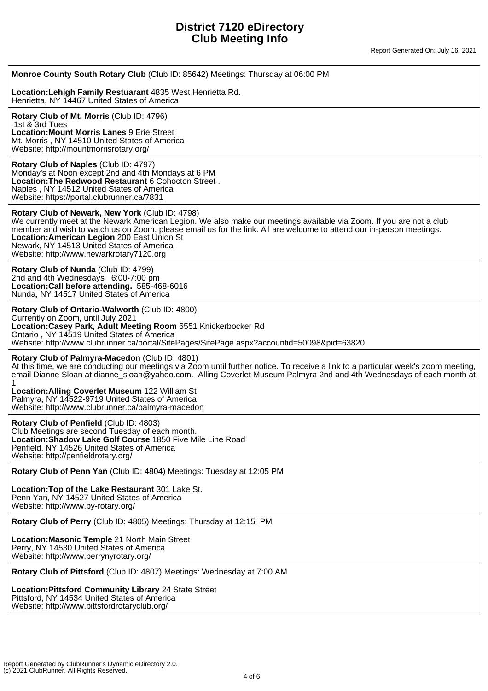Report Generated On: July 16, 2021

| Monroe County South Rotary Club (Club ID: 85642) Meetings: Thursday at 06:00 PM                                                                                                                                                                                                                                                                                                                                                         |
|-----------------------------------------------------------------------------------------------------------------------------------------------------------------------------------------------------------------------------------------------------------------------------------------------------------------------------------------------------------------------------------------------------------------------------------------|
| Location: Lehigh Family Restuarant 4835 West Henrietta Rd.<br>Henrietta, NY 14467 United States of America                                                                                                                                                                                                                                                                                                                              |
| Rotary Club of Mt. Morris (Club ID: 4796)<br>1st & 3rd Tues<br><b>Location: Mount Morris Lanes 9 Erie Street</b><br>Mt. Morris, NY 14510 United States of America<br>Website: http://mountmorrisrotary.org/                                                                                                                                                                                                                             |
| Rotary Club of Naples (Club ID: 4797)<br>Monday's at Noon except 2nd and 4th Mondays at 6 PM<br>Location: The Redwood Restaurant 6 Cohocton Street.<br>Naples, NY 14512 United States of America<br>Website: https://portal.clubrunner.ca/7831                                                                                                                                                                                          |
| Rotary Club of Newark, New York (Club ID: 4798)<br>We currently meet at the Newark American Legion. We also make our meetings available via Zoom. If you are not a club<br>member and wish to watch us on Zoom, please email us for the link. All are welcome to attend our in-person meetings.<br>Location: American Legion 200 East Union St<br>Newark, NY 14513 United States of America<br>Website: http://www.newarkrotary7120.org |
| Rotary Club of Nunda (Club ID: 4799)<br>2nd and 4th Wednesdays 6:00-7:00 pm<br>Location: Call before attending. 585-468-6016<br>Nunda, NY 14517 United States of America                                                                                                                                                                                                                                                                |
| Rotary Club of Ontario-Walworth (Club ID: 4800)<br>Currently on Zoom, until July 2021<br>Location: Casey Park, Adult Meeting Room 6551 Knickerbocker Rd<br>Ontario, NY 14519 United States of America<br>Website: http://www.clubrunner.ca/portal/SitePages/SitePage.aspx?accountid=50098&pid=63820                                                                                                                                     |
| Rotary Club of Palmyra-Macedon (Club ID: 4801)<br>At this time, we are conducting our meetings via Zoom until further notice. To receive a link to a particular week's zoom meeting,<br>email Dianne Sloan at dianne_sloan@yahoo.com. Alling Coverlet Museum Palmyra 2nd and 4th Wednesdays of each month at                                                                                                                            |
| Location: Alling Coverlet Museum 122 William St<br>Palmyra, NY 14522-9719 United States of America<br>Website: http://www.clubrunner.ca/palmyra-macedon                                                                                                                                                                                                                                                                                 |
| Rotary Club of Penfield (Club ID: 4803)<br>Club Meetings are second Tuesday of each month.<br>Location: Shadow Lake Golf Course 1850 Five Mile Line Road<br>Penfield, NY 14526 United States of America<br>Website: http://penfieldrotary.org/                                                                                                                                                                                          |
| Rotary Club of Penn Yan (Club ID: 4804) Meetings: Tuesday at 12:05 PM                                                                                                                                                                                                                                                                                                                                                                   |
| Location: Top of the Lake Restaurant 301 Lake St.<br>Penn Yan, NY 14527 United States of America<br>Website: http://www.py-rotary.org/                                                                                                                                                                                                                                                                                                  |
| Rotary Club of Perry (Club ID: 4805) Meetings: Thursday at 12:15 PM                                                                                                                                                                                                                                                                                                                                                                     |
| Location: Masonic Temple 21 North Main Street<br>Perry, NY 14530 United States of America<br>Website: http://www.perrynyrotary.org/                                                                                                                                                                                                                                                                                                     |
| Rotary Club of Pittsford (Club ID: 4807) Meetings: Wednesday at 7:00 AM                                                                                                                                                                                                                                                                                                                                                                 |
| Location: Pittsford Community Library 24 State Street<br>Pittsford, NY 14534 United States of America<br>Website: http://www.pittsfordrotaryclub.org/                                                                                                                                                                                                                                                                                   |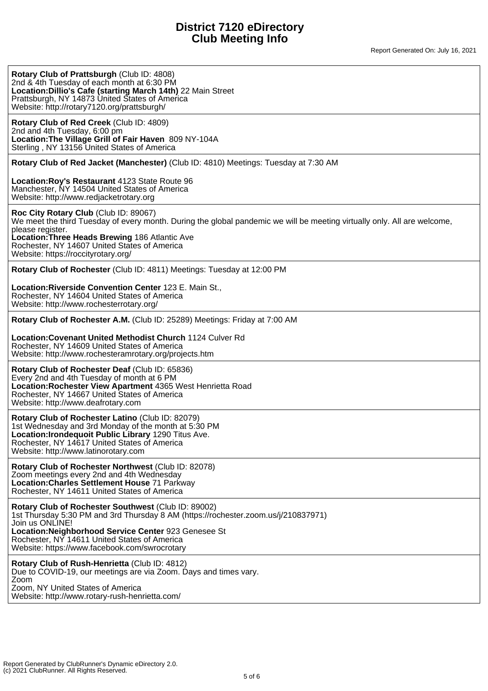| Rotary Club of Prattsburgh (Club ID: 4808)<br>2nd & 4th Tuesday of each month at 6:30 PM<br>Location: Dillio's Cafe (starting March 14th) 22 Main Street<br>Prattsburgh, NY 14873 United States of America<br>Website: http://rotary7120.org/prattsburgh/                                                                      |
|--------------------------------------------------------------------------------------------------------------------------------------------------------------------------------------------------------------------------------------------------------------------------------------------------------------------------------|
| Rotary Club of Red Creek (Club ID: 4809)<br>2nd and 4th Tuesday, 6:00 pm<br>Location: The Village Grill of Fair Haven 809 NY-104A<br>Sterling, NY 13156 United States of America                                                                                                                                               |
| Rotary Club of Red Jacket (Manchester) (Club ID: 4810) Meetings: Tuesday at 7:30 AM                                                                                                                                                                                                                                            |
| Location: Roy's Restaurant 4123 State Route 96<br>Manchester, NY 14504 United States of America<br>Website: http://www.redjacketrotary.org                                                                                                                                                                                     |
| Roc City Rotary Club (Club ID: 89067)<br>We meet the third Tuesday of every month. During the global pandemic we will be meeting virtually only. All are welcome,<br>please register.<br>Location: Three Heads Brewing 186 Atlantic Ave<br>Rochester, NY 14607 United States of America<br>Website: https://roccityrotary.org/ |
| Rotary Club of Rochester (Club ID: 4811) Meetings: Tuesday at 12:00 PM                                                                                                                                                                                                                                                         |
| Location: Riverside Convention Center 123 E. Main St.,<br>Rochester, NY 14604 United States of America<br>Website: http://www.rochesterrotary.org/                                                                                                                                                                             |
| Rotary Club of Rochester A.M. (Club ID: 25289) Meetings: Friday at 7:00 AM                                                                                                                                                                                                                                                     |
| <b>Location: Covenant United Methodist Church 1124 Culver Rd</b><br>Rochester, NY 14609 United States of America<br>Website: http://www.rochesteramrotary.org/projects.htm                                                                                                                                                     |
| Rotary Club of Rochester Deaf (Club ID: 65836)<br>Every 2nd and 4th Tuesday of month at 6 PM<br>Location: Rochester View Apartment 4365 West Henrietta Road<br>Rochester, NY 14667 United States of America<br>Website: http://www.deafrotary.com                                                                              |
| Rotary Club of Rochester Latino (Club ID: 82079)<br>1st Wednesday and 3rd Monday of the month at 5:30 PM<br>Location: Irondequoit Public Library 1290 Titus Ave.<br>Rochester, NY 14617 United States of America<br>Website: http://www.latinorotary.com                                                                       |
| Rotary Club of Rochester Northwest (Club ID: 82078)<br>Zoom meetings every 2nd and 4th Wednesday<br>Location: Charles Settlement House 71 Parkway<br>Rochester, NY 14611 United States of America                                                                                                                              |
| Rotary Club of Rochester Southwest (Club ID: 89002)<br>1st Thursday 5:30 PM and 3rd Thursday 8 AM (https://rochester.zoom.us/j/210837971)<br>Join us ONLINE!<br>Location: Neighborhood Service Center 923 Genesee St<br>Rochester, NY 14611 United States of America<br>Website: https://www.facebook.com/swrocrotary          |
| Rotary Club of Rush-Henrietta (Club ID: 4812)<br>Due to COVID-19, our meetings are via Zoom. Days and times vary.<br>Zoom<br>Zoom, NY United States of America<br>Website: http://www.rotary-rush-henrietta.com/                                                                                                               |